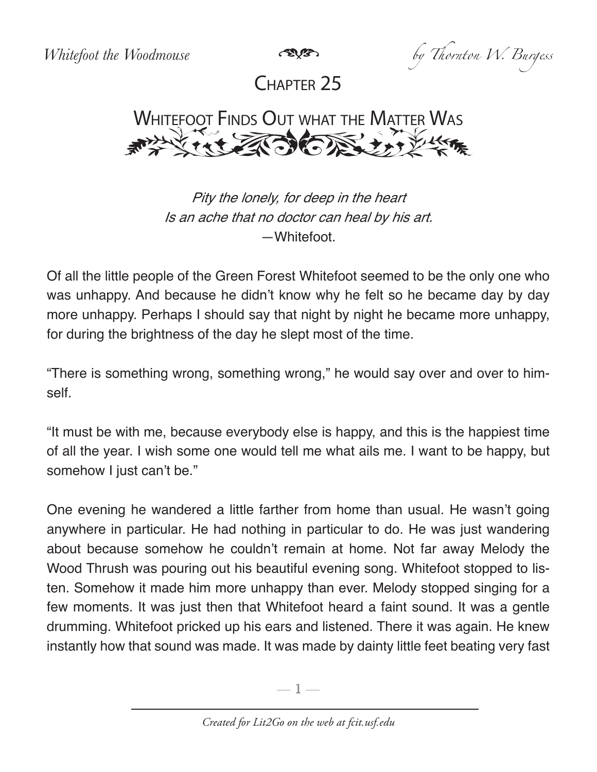*Whitefoot the Woodmouse by Thornton W. Burgess*

Chapter 25



Pity the lonely, for deep in the heart Is an ache that no doctor can heal by his art. —Whitefoot.

Of all the little people of the Green Forest Whitefoot seemed to be the only one who was unhappy. And because he didn't know why he felt so he became day by day more unhappy. Perhaps I should say that night by night he became more unhappy, for during the brightness of the day he slept most of the time.

"There is something wrong, something wrong," he would say over and over to himself.

"It must be with me, because everybody else is happy, and this is the happiest time of all the year. I wish some one would tell me what ails me. I want to be happy, but somehow I just can't be."

One evening he wandered a little farther from home than usual. He wasn't going anywhere in particular. He had nothing in particular to do. He was just wandering about because somehow he couldn't remain at home. Not far away Melody the Wood Thrush was pouring out his beautiful evening song. Whitefoot stopped to listen. Somehow it made him more unhappy than ever. Melody stopped singing for a few moments. It was just then that Whitefoot heard a faint sound. It was a gentle drumming. Whitefoot pricked up his ears and listened. There it was again. He knew instantly how that sound was made. It was made by dainty little feet beating very fast

—  $\mathbb{I}$  —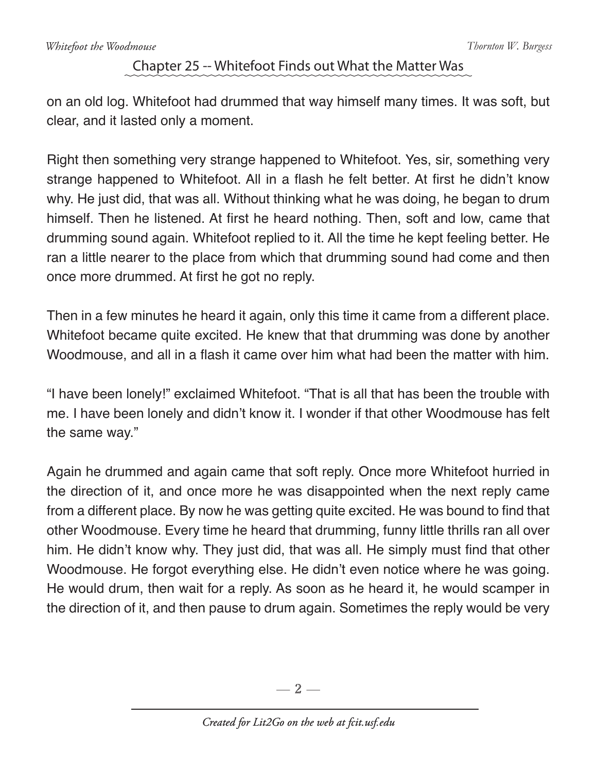## Chapter 25 -- Whitefoot Finds out What the Matter Was

on an old log. Whitefoot had drummed that way himself many times. It was soft, but clear, and it lasted only a moment.

Right then something very strange happened to Whitefoot. Yes, sir, something very strange happened to Whitefoot. All in a flash he felt better. At first he didn't know why. He just did, that was all. Without thinking what he was doing, he began to drum himself. Then he listened. At first he heard nothing. Then, soft and low, came that drumming sound again. Whitefoot replied to it. All the time he kept feeling better. He ran a little nearer to the place from which that drumming sound had come and then once more drummed. At first he got no reply.

Then in a few minutes he heard it again, only this time it came from a different place. Whitefoot became quite excited. He knew that that drumming was done by another Woodmouse, and all in a flash it came over him what had been the matter with him.

"I have been lonely!" exclaimed Whitefoot. "That is all that has been the trouble with me. I have been lonely and didn't know it. I wonder if that other Woodmouse has felt the same way."

Again he drummed and again came that soft reply. Once more Whitefoot hurried in the direction of it, and once more he was disappointed when the next reply came from a different place. By now he was getting quite excited. He was bound to find that other Woodmouse. Every time he heard that drumming, funny little thrills ran all over him. He didn't know why. They just did, that was all. He simply must find that other Woodmouse. He forgot everything else. He didn't even notice where he was going. He would drum, then wait for a reply. As soon as he heard it, he would scamper in the direction of it, and then pause to drum again. Sometimes the reply would be very

 $-2-$